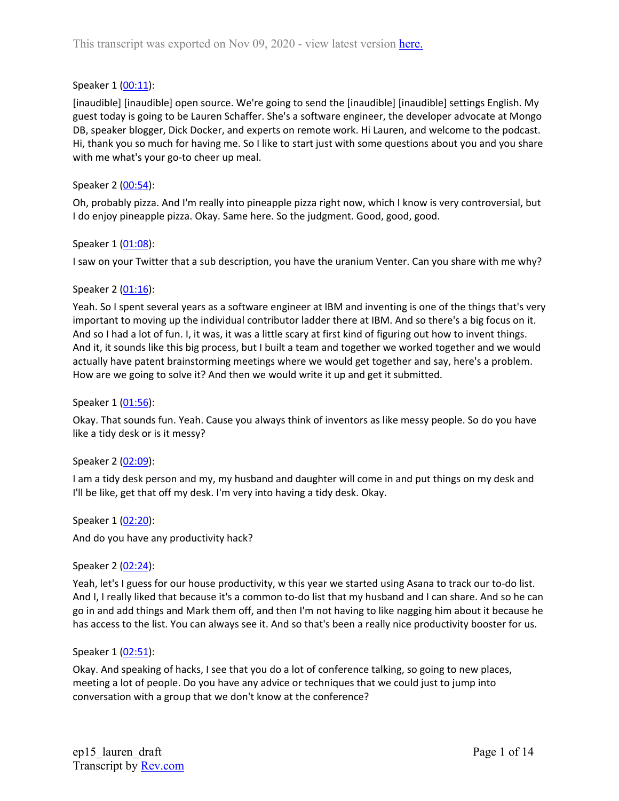#### Speaker 1 ([00:11](https://www.rev.com/transcript-editor/Edit?token=6slIneH0R_VSfOcPX-PtGZOXF5oqWDfATMpJ3naAzOw5c0WHxVklW0NhYtyF_RFfkdOSmbtsmy10O2DwYrxkNS8RVrQ&loadFrom=DocumentDeeplink&ts=11.36)):

[inaudible] [inaudible] open source. We're going to send the [inaudible] [inaudible] settings English. My guest today is going to be Lauren Schaffer. She's a software engineer, the developer advocate at Mongo DB, speaker blogger, Dick Docker, and experts on remote work. Hi Lauren, and welcome to the podcast. Hi, thank you so much for having me. So I like to start just with some questions about you and you share with me what's your go-to cheer up meal.

#### Speaker 2 ([00:54](https://www.rev.com/transcript-editor/Edit?token=MDksL1S3eVjMbfZpKDHhlzgyXKrxBqwnJW8Mqk43TBKfEejOHZiVNbigGATKTjh2mpmyWoT8AkrGlvFEb_cH-OKNZJE&loadFrom=DocumentDeeplink&ts=54.44)):

Oh, probably pizza. And I'm really into pineapple pizza right now, which I know is very controversial, but I do enjoy pineapple pizza. Okay. Same here. So the judgment. Good, good, good.

#### Speaker 1 ([01:08](https://www.rev.com/transcript-editor/Edit?token=u3h8KDY_J_gXzhM5Vra4kNYOvPT04U3p-EarHnC-2x5Gf3X_f9oD9h9KVUADbAdO1f8KPS25cTiFMvCyDjy9X3ymIeM&loadFrom=DocumentDeeplink&ts=68.86)):

I saw on your Twitter that a sub description, you have the uranium Venter. Can you share with me why?

#### Speaker 2 ([01:16](https://www.rev.com/transcript-editor/Edit?token=C2JIGbwh604bynFpzXB_02I9UG1_vobx7JtcE-aVul-IK-jS2avIt7ayFvPnf1LsMuutBj1YXpfKsQyXL9L9BpqEoJs&loadFrom=DocumentDeeplink&ts=76.88)):

Yeah. So I spent several years as a software engineer at IBM and inventing is one of the things that's very important to moving up the individual contributor ladder there at IBM. And so there's a big focus on it. And so I had a lot of fun. I, it was, it was a little scary at first kind of figuring out how to invent things. And it, it sounds like this big process, but I built a team and together we worked together and we would actually have patent brainstorming meetings where we would get together and say, here's a problem. How are we going to solve it? And then we would write it up and get it submitted.

#### Speaker 1 ([01:56](https://www.rev.com/transcript-editor/Edit?token=i-7CTaj2-0ZG0C-moVbkvKWhI88TJ-sclCKBgvWpVoAviKINpVJH-bh_nHxWXebY9FoNm-Q3X1MZTWOpvz_SCqYT3d0&loadFrom=DocumentDeeplink&ts=116.66)):

Okay. That sounds fun. Yeah. Cause you always think of inventors as like messy people. So do you have like a tidy desk or is it messy?

#### Speaker 2 ([02:09](https://www.rev.com/transcript-editor/Edit?token=v_mklzEPr3diesq6yaTJxf8UJNZEte52Vi9D7RHCecSFCI8UXolypIKKmPCQuBOrZKSJ0E_79NYCeLuCILy5hqWqOpo&loadFrom=DocumentDeeplink&ts=129.56)):

I am a tidy desk person and my, my husband and daughter will come in and put things on my desk and I'll be like, get that off my desk. I'm very into having a tidy desk. Okay.

Speaker 1 ([02:20](https://www.rev.com/transcript-editor/Edit?token=SQ2ZTtgKy3rfgIuseQDLs1E_gMySTS9HKQqJt4YbZg8AWrftqmX3XpzhaGFaGaAcQ5VTrBE5c_3NL9ZpGruCmwuWe3U&loadFrom=DocumentDeeplink&ts=140.66)): And do you have any productivity hack?

#### Speaker 2 ([02:24](https://www.rev.com/transcript-editor/Edit?token=VUgRk7urBh2Tq7JVc-DrbqMDBmJ0Zl4_Glsk4p1gfyl32CWvyw2csFuxv1nfsnn03ZfZYe4UntIpk7IxH2Kc0efgXVA&loadFrom=DocumentDeeplink&ts=144.74)):

Yeah, let's I guess for our house productivity, w this year we started using Asana to track our to-do list. And I, I really liked that because it's a common to-do list that my husband and I can share. And so he can go in and add things and Mark them off, and then I'm not having to like nagging him about it because he has access to the list. You can always see it. And so that's been a really nice productivity booster for us.

#### Speaker 1 ([02:51](https://www.rev.com/transcript-editor/Edit?token=e3oSKqvWbYClE4JgWALZCEgjvQ9P5SlhaPBng1i5vDfqUsIzvBK_VUpqce15tP6Y2xyuDbK2h-D95vZM2w0AlaN7IXI&loadFrom=DocumentDeeplink&ts=171.82)):

Okay. And speaking of hacks, I see that you do a lot of conference talking, so going to new places, meeting a lot of people. Do you have any advice or techniques that we could just to jump into conversation with a group that we don't know at the conference?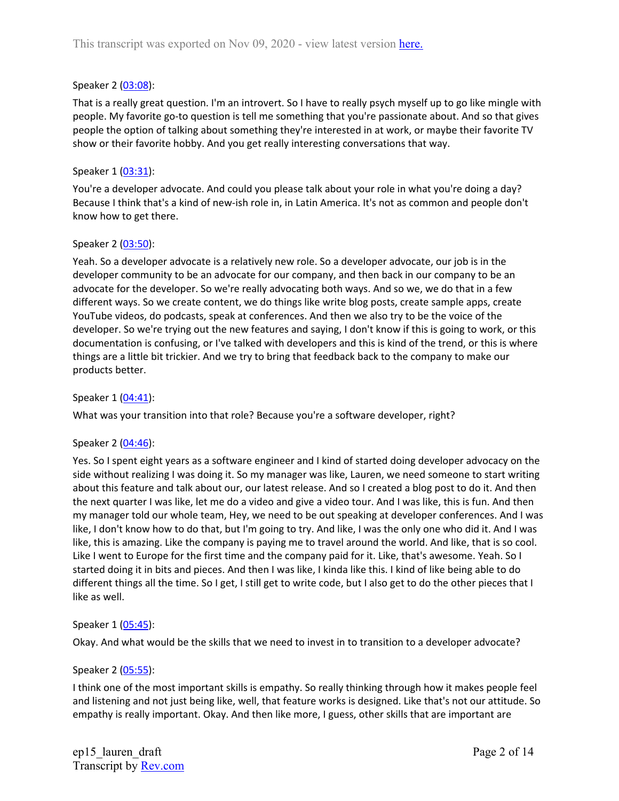### Speaker 2 ([03:08](https://www.rev.com/transcript-editor/Edit?token=A6t1TP51K9EwJn9gWpC3oZBzm8RZ3bjHWfh8MBRcUb3LSk2nzhjmVSI8CtFnzxbcFp-fi9z7TjbjddxMwC8MUT2CIgI&loadFrom=DocumentDeeplink&ts=188.7)):

That is a really great question. I'm an introvert. So I have to really psych myself up to go like mingle with people. My favorite go-to question is tell me something that you're passionate about. And so that gives people the option of talking about something they're interested in at work, or maybe their favorite TV show or their favorite hobby. And you get really interesting conversations that way.

### Speaker 1 ([03:31](https://www.rev.com/transcript-editor/Edit?token=HY_4dGnvakS-6SpTpqoNBAKfsJhEy4FcCGc48cehR4L0yn3CW8CpRaRVhrrKUnh7n4ETsOBnt1zEO2EWBi6q5pG6AHI&loadFrom=DocumentDeeplink&ts=211.95)):

You're a developer advocate. And could you please talk about your role in what you're doing a day? Because I think that's a kind of new-ish role in, in Latin America. It's not as common and people don't know how to get there.

#### Speaker 2 ([03:50](https://www.rev.com/transcript-editor/Edit?token=qJPLrEMeJP2UGh79C7QtWCrYrr4cDXkuT3ZnYgjnu6nvbb8dB0BV76U3RB7RB5h-mb3ktt49T88R2yCe5kfOAW71qhM&loadFrom=DocumentDeeplink&ts=230.88)):

Yeah. So a developer advocate is a relatively new role. So a developer advocate, our job is in the developer community to be an advocate for our company, and then back in our company to be an advocate for the developer. So we're really advocating both ways. And so we, we do that in a few different ways. So we create content, we do things like write blog posts, create sample apps, create YouTube videos, do podcasts, speak at conferences. And then we also try to be the voice of the developer. So we're trying out the new features and saying, I don't know if this is going to work, or this documentation is confusing, or I've talked with developers and this is kind of the trend, or this is where things are a little bit trickier. And we try to bring that feedback back to the company to make our products better.

### Speaker 1 ([04:41](https://www.rev.com/transcript-editor/Edit?token=zpA3Zs3gMIfBD2Lncy2GG_92lMsCH5HoCCYp_H_5WgGxx_sBYQeWpKwjIlxMcWC6iI41OW8jfcigE6hDueZi6xbhUBc&loadFrom=DocumentDeeplink&ts=281.22)):

What was your transition into that role? Because you're a software developer, right?

#### Speaker 2 ([04:46](https://www.rev.com/transcript-editor/Edit?token=R2PhaBpj0liMKv-iTJBnca4nH993AzOxHsqehg6LrjaX-zbwVvlEUJbwHv0VpJ5upu2JK08wyW7vYnXrICcHEbM16B8&loadFrom=DocumentDeeplink&ts=286.08)):

Yes. So I spent eight years as a software engineer and I kind of started doing developer advocacy on the side without realizing I was doing it. So my manager was like, Lauren, we need someone to start writing about this feature and talk about our, our latest release. And so I created a blog post to do it. And then the next quarter I was like, let me do a video and give a video tour. And I was like, this is fun. And then my manager told our whole team, Hey, we need to be out speaking at developer conferences. And I was like, I don't know how to do that, but I'm going to try. And like, I was the only one who did it. And I was like, this is amazing. Like the company is paying me to travel around the world. And like, that is so cool. Like I went to Europe for the first time and the company paid for it. Like, that's awesome. Yeah. So I started doing it in bits and pieces. And then I was like, I kinda like this. I kind of like being able to do different things all the time. So I get, I still get to write code, but I also get to do the other pieces that I like as well.

#### Speaker 1 ([05:45](https://www.rev.com/transcript-editor/Edit?token=my11h5FjI3jG7vXViHkppG5-1cG669rzs9ECHo7S7tUR030u3upT6hjfBT2pBfawvcGkuJ4NXJOxkXldCS2YiBq7RHs&loadFrom=DocumentDeeplink&ts=345.63)):

Okay. And what would be the skills that we need to invest in to transition to a developer advocate?

# Speaker 2 ([05:55](https://www.rev.com/transcript-editor/Edit?token=bDzjk8_he0BXGC-M28sEZq4r-lsW8oME8CrY4h-PKfMBaSx4t3R5i00h2yjDjELM-dlzaFwKyiboeJigwLK3ppJtqMI&loadFrom=DocumentDeeplink&ts=355.23)):

I think one of the most important skills is empathy. So really thinking through how it makes people feel and listening and not just being like, well, that feature works is designed. Like that's not our attitude. So empathy is really important. Okay. And then like more, I guess, other skills that are important are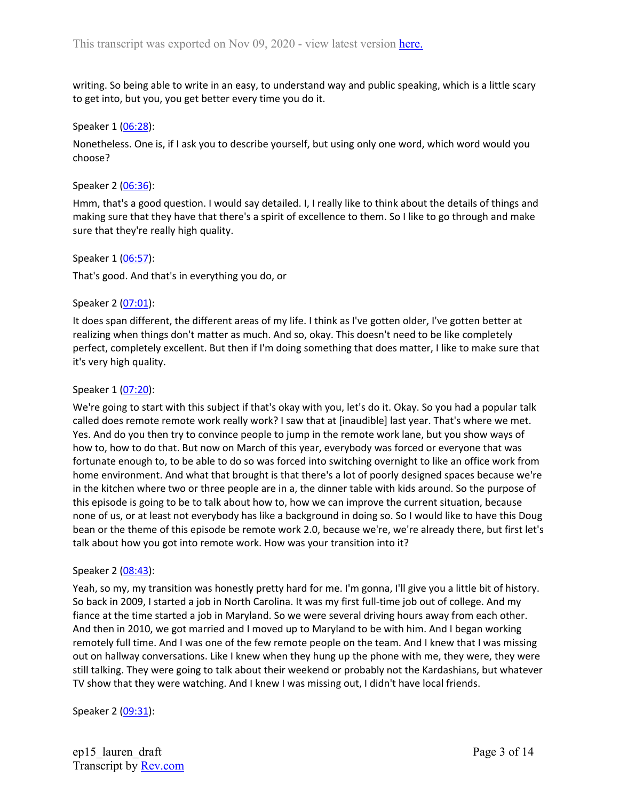writing. So being able to write in an easy, to understand way and public speaking, which is a little scary to get into, but you, you get better every time you do it.

#### Speaker 1 ([06:28](https://www.rev.com/transcript-editor/Edit?token=RTeft_VtArL-1d82cGDou7o8sF8bYxcNGiuBiRiDXCPMulWBFnPi4Bsz4dlBqgkMFoUe7W-c0tIV_3OkC6UbIeHjzIw&loadFrom=DocumentDeeplink&ts=388.23)):

Nonetheless. One is, if I ask you to describe yourself, but using only one word, which word would you choose?

#### Speaker 2 ([06:36](https://www.rev.com/transcript-editor/Edit?token=9nlxVZtcWBQY2uZWiulCQfROavk5R_BVYYG9ZXBtkJVo_oX9kCt-pKwT8sa3WlezKd6n_F5hVgJ9yekuClGyElONJr4&loadFrom=DocumentDeeplink&ts=396.28)):

Hmm, that's a good question. I would say detailed. I, I really like to think about the details of things and making sure that they have that there's a spirit of excellence to them. So I like to go through and make sure that they're really high quality.

Speaker 1 ([06:57](https://www.rev.com/transcript-editor/Edit?token=c-kIuyeYuG4cVWbRzbXeSwqv5sAQ6hHUI2DZqCK61IOE6zfTs2_x5NBLPefGPPxjGf6IBBl7gIeBYfvhJO_ZV_dxXZY&loadFrom=DocumentDeeplink&ts=417.7)):

That's good. And that's in everything you do, or

#### Speaker 2 ([07:01](https://www.rev.com/transcript-editor/Edit?token=B5vtQobkvPzW2HTzrQekI7WHMrkrz1Y4ngMkMqQC52K3oWND16U0-dZQAk6M2cl60NvUajbkVOYngwc4-fDbtULxnZA&loadFrom=DocumentDeeplink&ts=421.27)):

It does span different, the different areas of my life. I think as I've gotten older, I've gotten better at realizing when things don't matter as much. And so, okay. This doesn't need to be like completely perfect, completely excellent. But then if I'm doing something that does matter, I like to make sure that it's very high quality.

#### Speaker 1 ([07:20](https://www.rev.com/transcript-editor/Edit?token=_y16thk_hAGfDiQs0kwsRCR2cO9A3iJ3BxQgUPHp-wYIWqhqM5fSgy7FD78Cfsd2NeVMtQryUlcX0e6QeLY7QcOey1A&loadFrom=DocumentDeeplink&ts=440.68)):

We're going to start with this subject if that's okay with you, let's do it. Okay. So you had a popular talk called does remote remote work really work? I saw that at [inaudible] last year. That's where we met. Yes. And do you then try to convince people to jump in the remote work lane, but you show ways of how to, how to do that. But now on March of this year, everybody was forced or everyone that was fortunate enough to, to be able to do so was forced into switching overnight to like an office work from home environment. And what that brought is that there's a lot of poorly designed spaces because we're in the kitchen where two or three people are in a, the dinner table with kids around. So the purpose of this episode is going to be to talk about how to, how we can improve the current situation, because none of us, or at least not everybody has like a background in doing so. So I would like to have this Doug bean or the theme of this episode be remote work 2.0, because we're, we're already there, but first let's talk about how you got into remote work. How was your transition into it?

#### Speaker 2 ([08:43](https://www.rev.com/transcript-editor/Edit?token=B32KF8jOgE2EU-FXhz0t9ziWQRY-OlxGNS8VrV1Qbtc-EQxuMX1RaUnTzh5dlr9Pcu7NUab8RAz_pCKXVR3MsgMi6AQ&loadFrom=DocumentDeeplink&ts=523.39)):

Yeah, so my, my transition was honestly pretty hard for me. I'm gonna, I'll give you a little bit of history. So back in 2009, I started a job in North Carolina. It was my first full-time job out of college. And my fiance at the time started a job in Maryland. So we were several driving hours away from each other. And then in 2010, we got married and I moved up to Maryland to be with him. And I began working remotely full time. And I was one of the few remote people on the team. And I knew that I was missing out on hallway conversations. Like I knew when they hung up the phone with me, they were, they were still talking. They were going to talk about their weekend or probably not the Kardashians, but whatever TV show that they were watching. And I knew I was missing out, I didn't have local friends.

Speaker 2 ([09:31](https://www.rev.com/transcript-editor/Edit?token=ldWt-t2Re1hBmCrQT01CtBt_dUtD-Jtude_6iYjQyJj0rWwWo00a4MwpzNgkZL4rProVmXlo8DD72KIYmK4UuUucrAY&loadFrom=DocumentDeeplink&ts=571.14)):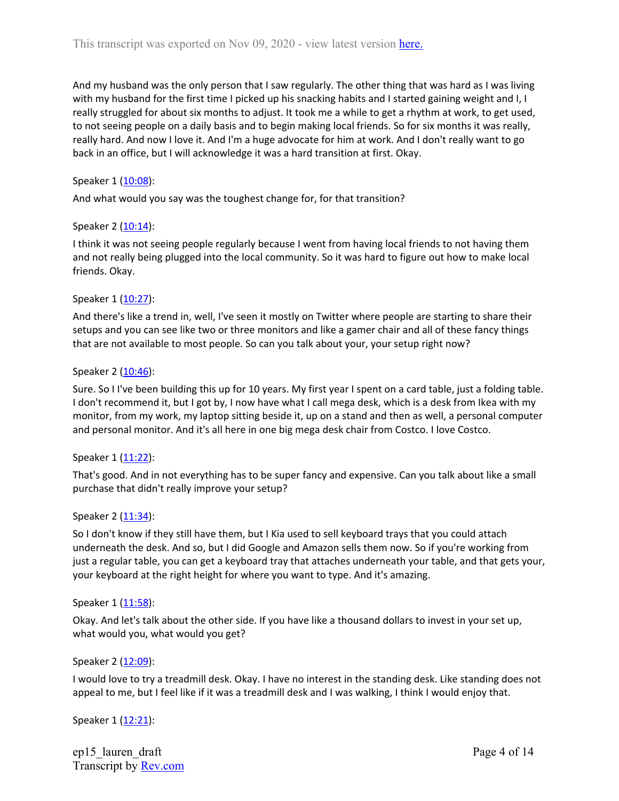And my husband was the only person that I saw regularly. The other thing that was hard as I was living with my husband for the first time I picked up his snacking habits and I started gaining weight and I, I really struggled for about six months to adjust. It took me a while to get a rhythm at work, to get used, to not seeing people on a daily basis and to begin making local friends. So for six months it was really, really hard. And now I love it. And I'm a huge advocate for him at work. And I don't really want to go back in an office, but I will acknowledge it was a hard transition at first. Okay.

# Speaker 1 ([10:08](https://www.rev.com/transcript-editor/Edit?token=5XNIu-gxNPpUPRiJGI-D3_2-WdvKayYkUeuVRpxA23dDPGj6ks8x46RkMwG1w0bFAWkwr2-_ZxD1RTK9_McMkv275xI&loadFrom=DocumentDeeplink&ts=608.24)):

And what would you say was the toughest change for, for that transition?

#### Speaker 2 ([10:14](https://www.rev.com/transcript-editor/Edit?token=32cLcuxUOgDKEb_Yls5Ffwyeg6Y_n05N1F7DAwQkkWN7Y2X8AAdy7mg-BSXhkOlp8hofNv_TCoNEXCAz-MMtqSGiAm4&loadFrom=DocumentDeeplink&ts=614.12)):

I think it was not seeing people regularly because I went from having local friends to not having them and not really being plugged into the local community. So it was hard to figure out how to make local friends. Okay.

#### Speaker 1 ([10:27](https://www.rev.com/transcript-editor/Edit?token=CLHqWTeusrLaYRPXvVFn-ygfw39ya8iXrum3R98c06u4H3h30iF5JCircTxyFyRz0X-HAAsvgPdUq5xSQZWcrI3CdWQ&loadFrom=DocumentDeeplink&ts=627.83)):

And there's like a trend in, well, I've seen it mostly on Twitter where people are starting to share their setups and you can see like two or three monitors and like a gamer chair and all of these fancy things that are not available to most people. So can you talk about your, your setup right now?

#### Speaker 2 ([10:46](https://www.rev.com/transcript-editor/Edit?token=z1c27RJUc0lmiEzHqavlB57CEhhi15e1suHGWRlmrl0uLWGxRdhem57N1HWjy6tdbMB_i39uNrC5a7m-cPgPullO3hQ&loadFrom=DocumentDeeplink&ts=646.73)):

Sure. So I I've been building this up for 10 years. My first year I spent on a card table, just a folding table. I don't recommend it, but I got by, I now have what I call mega desk, which is a desk from Ikea with my monitor, from my work, my laptop sitting beside it, up on a stand and then as well, a personal computer and personal monitor. And it's all here in one big mega desk chair from Costco. I love Costco.

#### Speaker 1 ([11:22](https://www.rev.com/transcript-editor/Edit?token=aKtZonnYh53KImh_QeJpAcYCt-kVCPO5IdlQxvy2eZPKGcu7s2KNUyswA-N-fcu-5ANxFOyQrZEdrmRaxsHDNVnq5TM&loadFrom=DocumentDeeplink&ts=682.52)):

That's good. And in not everything has to be super fancy and expensive. Can you talk about like a small purchase that didn't really improve your setup?

#### Speaker 2 ([11:34](https://www.rev.com/transcript-editor/Edit?token=2_95oEg5Ci9jXoTvJW31NH3pCR-YCWGcYcM5zqpLQY7XgAbpahRjuQJ8Lgkk_meQD2LHFgtS9flSHH1PwY-YoWAlfTE&loadFrom=DocumentDeeplink&ts=694.97)):

So I don't know if they still have them, but I Kia used to sell keyboard trays that you could attach underneath the desk. And so, but I did Google and Amazon sells them now. So if you're working from just a regular table, you can get a keyboard tray that attaches underneath your table, and that gets your, your keyboard at the right height for where you want to type. And it's amazing.

#### Speaker 1 ([11:58](https://www.rev.com/transcript-editor/Edit?token=0PCr4AHavnR9DZl-Cbw_tmWgGbcJ1JJ8cQtOyCjrSIiiBmuCrI2AMVl3DyrL26hr2gU1ezdqeLFmRBx52eLBz_Y3oQo&loadFrom=DocumentDeeplink&ts=718.02)):

Okay. And let's talk about the other side. If you have like a thousand dollars to invest in your set up, what would you, what would you get?

#### Speaker 2 ([12:09](https://www.rev.com/transcript-editor/Edit?token=Q7Ws7MOD1XOtIaToTQwKaledCQS4kIlsRLLEIXd0S4efDWnPATtsZSfJR0wGRigtvD_4oUOO9vOfXJ2kiYDKwlw_mU8&loadFrom=DocumentDeeplink&ts=729.54)):

I would love to try a treadmill desk. Okay. I have no interest in the standing desk. Like standing does not appeal to me, but I feel like if it was a treadmill desk and I was walking, I think I would enjoy that.

Speaker 1 ([12:21](https://www.rev.com/transcript-editor/Edit?token=iBmBWeEUGrgN7Nkm--4iRqYaqaI062pe_Gd5CpC1nJkqOc6Dz2jMaFMoZ0E8XwHittVY1QsQVn8em_98WPnFzo34Jmw&loadFrom=DocumentDeeplink&ts=741.72)):

ep15\_lauren\_draft Transcript by [Rev.com](https://www.rev.com/)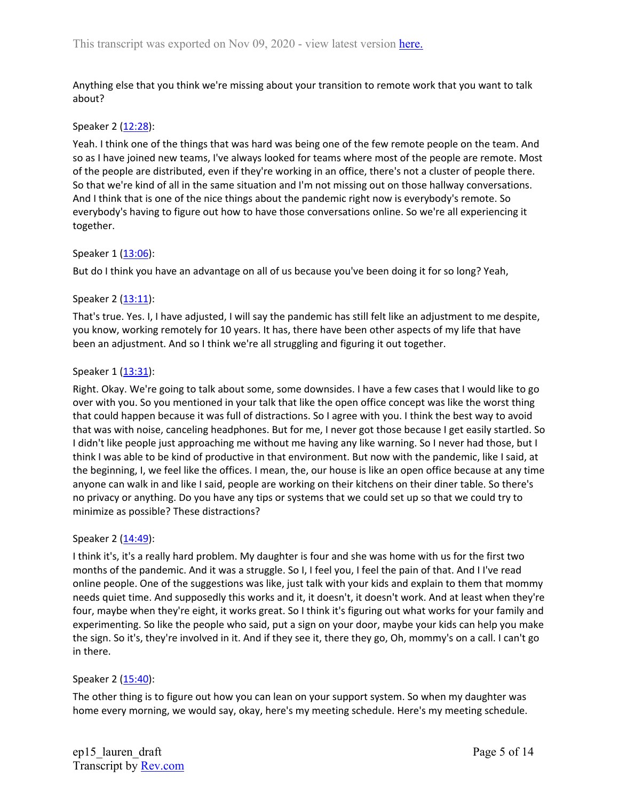Anything else that you think we're missing about your transition to remote work that you want to talk about?

### Speaker 2 ([12:28](https://www.rev.com/transcript-editor/Edit?token=4GuD8_DM0vkGdH7DdGgQZFdp3jEydLLX4o3Kz4HJzUBQ6TLrf0W85jEq_0E9yhqsBdHzDkEzO9n1qMUbl7cNVZKMYkQ&loadFrom=DocumentDeeplink&ts=748.56)):

Yeah. I think one of the things that was hard was being one of the few remote people on the team. And so as I have joined new teams, I've always looked for teams where most of the people are remote. Most of the people are distributed, even if they're working in an office, there's not a cluster of people there. So that we're kind of all in the same situation and I'm not missing out on those hallway conversations. And I think that is one of the nice things about the pandemic right now is everybody's remote. So everybody's having to figure out how to have those conversations online. So we're all experiencing it together.

# Speaker 1 ([13:06](https://www.rev.com/transcript-editor/Edit?token=T_YA2qaYj9k8pyv6XSLwUfc2IeW4KewOeNq4_hfaJVNh2fTt0Gl7A-rxc-afYUvvw9SXNPlZmQiyOr6y3unD4IYtM4c&loadFrom=DocumentDeeplink&ts=786)):

But do I think you have an advantage on all of us because you've been doing it for so long? Yeah,

# Speaker 2 ([13:11](https://www.rev.com/transcript-editor/Edit?token=bRfmCom6lscXsTP6vmTuWUNwGji4y7kMTyF24j2PuQ-3JLcdLNP4GTN_CGFDnEaodAgcWE_ZR_DUAHwbS98vSDNuwa0&loadFrom=DocumentDeeplink&ts=791.31)):

That's true. Yes. I, I have adjusted, I will say the pandemic has still felt like an adjustment to me despite, you know, working remotely for 10 years. It has, there have been other aspects of my life that have been an adjustment. And so I think we're all struggling and figuring it out together.

# Speaker 1 ([13:31](https://www.rev.com/transcript-editor/Edit?token=Em5hseDEhinoTv6m942dvkbSoD3ZLT2bqgndk4WuK34Z-v8uf2BtAyhiiw_r-iUxyJl3W9TNP59-uTMx7bzdwvLMKAk&loadFrom=DocumentDeeplink&ts=811.59)):

Right. Okay. We're going to talk about some, some downsides. I have a few cases that I would like to go over with you. So you mentioned in your talk that like the open office concept was like the worst thing that could happen because it was full of distractions. So I agree with you. I think the best way to avoid that was with noise, canceling headphones. But for me, I never got those because I get easily startled. So I didn't like people just approaching me without me having any like warning. So I never had those, but I think I was able to be kind of productive in that environment. But now with the pandemic, like I said, at the beginning, I, we feel like the offices. I mean, the, our house is like an open office because at any time anyone can walk in and like I said, people are working on their kitchens on their diner table. So there's no privacy or anything. Do you have any tips or systems that we could set up so that we could try to minimize as possible? These distractions?

#### Speaker 2 ([14:49](https://www.rev.com/transcript-editor/Edit?token=7NzdgZrEGfSLfuQssWSmpd_wtXXksTEGxlOoki9PxGeujrjYLB0Mo3MnNvMWZBcNKAype9cVLR8Wd0rK6kNW6B4ckgo&loadFrom=DocumentDeeplink&ts=889.95)):

I think it's, it's a really hard problem. My daughter is four and she was home with us for the first two months of the pandemic. And it was a struggle. So I, I feel you, I feel the pain of that. And I I've read online people. One of the suggestions was like, just talk with your kids and explain to them that mommy needs quiet time. And supposedly this works and it, it doesn't, it doesn't work. And at least when they're four, maybe when they're eight, it works great. So I think it's figuring out what works for your family and experimenting. So like the people who said, put a sign on your door, maybe your kids can help you make the sign. So it's, they're involved in it. And if they see it, there they go, Oh, mommy's on a call. I can't go in there.

#### Speaker 2 ([15:40](https://www.rev.com/transcript-editor/Edit?token=X5Aca3y4GYGG0uHZl-9zjoQ3jds-EWbDGN1wnGoI1yNhqDqjWUc6D2md59npGLowb4Rhbl8gxyazg0Gim6hhOmq70oE&loadFrom=DocumentDeeplink&ts=940.97)):

The other thing is to figure out how you can lean on your support system. So when my daughter was home every morning, we would say, okay, here's my meeting schedule. Here's my meeting schedule.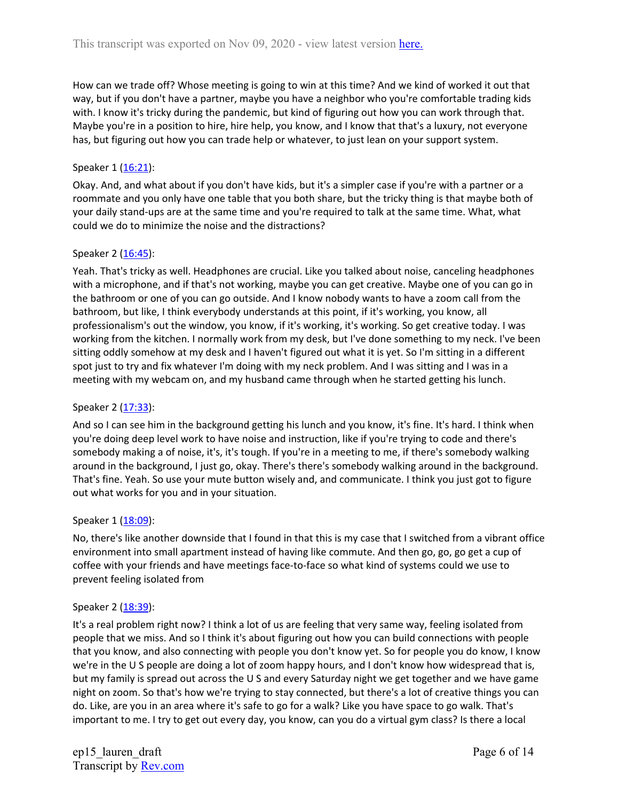How can we trade off? Whose meeting is going to win at this time? And we kind of worked it out that way, but if you don't have a partner, maybe you have a neighbor who you're comfortable trading kids with. I know it's tricky during the pandemic, but kind of figuring out how you can work through that. Maybe you're in a position to hire, hire help, you know, and I know that that's a luxury, not everyone has, but figuring out how you can trade help or whatever, to just lean on your support system.

# Speaker 1 ([16:21](https://www.rev.com/transcript-editor/Edit?token=uHuPUJTz5qq8bLLFGY1mjau048-CPByaZcj4UrY7RVml9j8wAGjpQTf_dQBvL-ExbnKeWBN_SITcu_Oa-xg_UxhIfxQ&loadFrom=DocumentDeeplink&ts=981.16)):

Okay. And, and what about if you don't have kids, but it's a simpler case if you're with a partner or a roommate and you only have one table that you both share, but the tricky thing is that maybe both of your daily stand-ups are at the same time and you're required to talk at the same time. What, what could we do to minimize the noise and the distractions?

# Speaker 2 ([16:45](https://www.rev.com/transcript-editor/Edit?token=BnAh0He94WOtNnbTOOJsaq8Z27a0eNWAZDNHOGf9GdUAl-kdH3YSiwGNVhChUz8BOA3TiUF2n1Rd8oNBVdOMZc2tE-0&loadFrom=DocumentDeeplink&ts=1005.25)):

Yeah. That's tricky as well. Headphones are crucial. Like you talked about noise, canceling headphones with a microphone, and if that's not working, maybe you can get creative. Maybe one of you can go in the bathroom or one of you can go outside. And I know nobody wants to have a zoom call from the bathroom, but like, I think everybody understands at this point, if it's working, you know, all professionalism's out the window, you know, if it's working, it's working. So get creative today. I was working from the kitchen. I normally work from my desk, but I've done something to my neck. I've been sitting oddly somehow at my desk and I haven't figured out what it is yet. So I'm sitting in a different spot just to try and fix whatever I'm doing with my neck problem. And I was sitting and I was in a meeting with my webcam on, and my husband came through when he started getting his lunch.

#### Speaker 2 ([17:33](https://www.rev.com/transcript-editor/Edit?token=wXUK0damE5tQ2Um58QyOigscEPVhAKEQ2te9_IR0ibrtYYV3HjWIyY_LlYtq_ZWdm8dAoeJ1jev4jlmGPl_sdO59a9U&loadFrom=DocumentDeeplink&ts=1053.37)):

And so I can see him in the background getting his lunch and you know, it's fine. It's hard. I think when you're doing deep level work to have noise and instruction, like if you're trying to code and there's somebody making a of noise, it's, it's tough. If you're in a meeting to me, if there's somebody walking around in the background, I just go, okay. There's there's somebody walking around in the background. That's fine. Yeah. So use your mute button wisely and, and communicate. I think you just got to figure out what works for you and in your situation.

#### Speaker 1 ([18:09](https://www.rev.com/transcript-editor/Edit?token=qCvKqiyp-lKNUwHQSYT2YTblmt0mQcjCwBdTcXJH1BLZlX-Y7eedfFNw1-74qG7id9jCPP23dOot4hI2AEPKq9kKHb8&loadFrom=DocumentDeeplink&ts=1089.89)):

No, there's like another downside that I found in that this is my case that I switched from a vibrant office environment into small apartment instead of having like commute. And then go, go, go get a cup of coffee with your friends and have meetings face-to-face so what kind of systems could we use to prevent feeling isolated from

#### Speaker 2 ([18:39](https://www.rev.com/transcript-editor/Edit?token=Ptrsnee5XKJCA4wKuyEDWT_3dnNq36VVfC3sS0oWwZ-fc57deoLf9stFOv_-t5wzy_6MeoXb1SaG0y1L0okeDEb_Qps&loadFrom=DocumentDeeplink&ts=1119.32)):

It's a real problem right now? I think a lot of us are feeling that very same way, feeling isolated from people that we miss. And so I think it's about figuring out how you can build connections with people that you know, and also connecting with people you don't know yet. So for people you do know, I know we're in the U S people are doing a lot of zoom happy hours, and I don't know how widespread that is, but my family is spread out across the U S and every Saturday night we get together and we have game night on zoom. So that's how we're trying to stay connected, but there's a lot of creative things you can do. Like, are you in an area where it's safe to go for a walk? Like you have space to go walk. That's important to me. I try to get out every day, you know, can you do a virtual gym class? Is there a local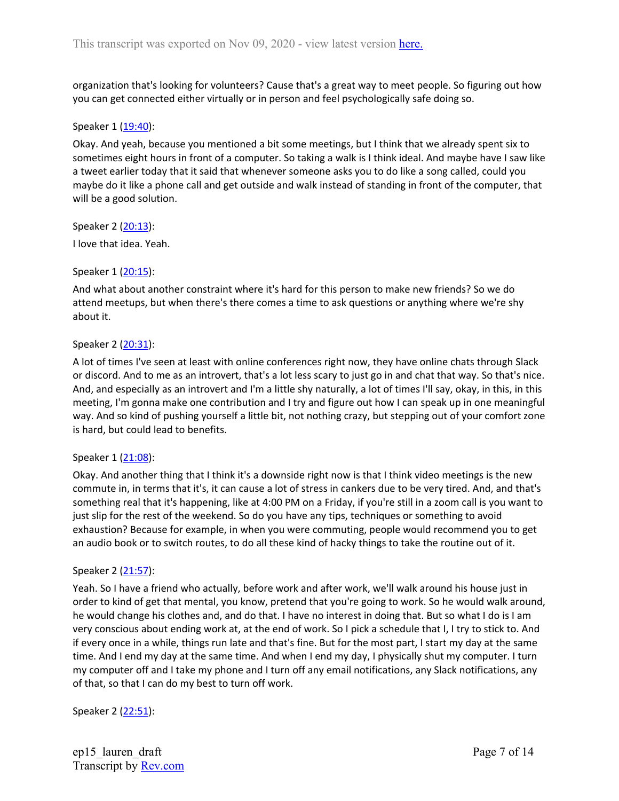organization that's looking for volunteers? Cause that's a great way to meet people. So figuring out how you can get connected either virtually or in person and feel psychologically safe doing so.

#### Speaker 1 ([19:40](https://www.rev.com/transcript-editor/Edit?token=eKVcjI3stzKypZMfFEoPc47se_99c_SqDSd06C8ZdJe_rpzt4k7R1BLoOhm6FrJrrAo7QVDDYbMYq-2FJNvatMo0zq0&loadFrom=DocumentDeeplink&ts=1180.91)):

Okay. And yeah, because you mentioned a bit some meetings, but I think that we already spent six to sometimes eight hours in front of a computer. So taking a walk is I think ideal. And maybe have I saw like a tweet earlier today that it said that whenever someone asks you to do like a song called, could you maybe do it like a phone call and get outside and walk instead of standing in front of the computer, that will be a good solution.

Speaker 2 ([20:13](https://www.rev.com/transcript-editor/Edit?token=aZhA5G93L8747qeGVc6Y-LIENizauaYxo307sjgvgGUTDTKl81TwyAoVgMkvzGUwVcIgEveHlidGoTIcY4v6fUpuYBU&loadFrom=DocumentDeeplink&ts=1213.43)):

I love that idea. Yeah.

Speaker 1 ([20:15](https://www.rev.com/transcript-editor/Edit?token=vPtgbGpKMq_BwFxpojjMeShpx3nghNmIURvGwKodImXXeX8XsbB2Wh6dZjtH6OLTqV2U7j03GyIKmRuff1EpPgkC2YE&loadFrom=DocumentDeeplink&ts=1215.71)):

And what about another constraint where it's hard for this person to make new friends? So we do attend meetups, but when there's there comes a time to ask questions or anything where we're shy about it.

#### Speaker 2 ([20:31](https://www.rev.com/transcript-editor/Edit?token=wIQoud46Ps3L0lqCc3I3LWSYiTLMN8L6pr0D_cdPcIwbCFjIE-1flF8W69V1ofL9KeW0fLKpf21XtBZ0lD5aTmebjG0&loadFrom=DocumentDeeplink&ts=1231.22)):

A lot of times I've seen at least with online conferences right now, they have online chats through Slack or discord. And to me as an introvert, that's a lot less scary to just go in and chat that way. So that's nice. And, and especially as an introvert and I'm a little shy naturally, a lot of times I'll say, okay, in this, in this meeting, I'm gonna make one contribution and I try and figure out how I can speak up in one meaningful way. And so kind of pushing yourself a little bit, not nothing crazy, but stepping out of your comfort zone is hard, but could lead to benefits.

#### Speaker 1 ([21:08](https://www.rev.com/transcript-editor/Edit?token=3jMXIjFv4CKK4y5oWMokbgvSRppZGiN9t0IeHMTo9AdNwu5-nyjBfHQncOThidXZT9Wd-L-aLuVVL7snUbhlTJrrF1A&loadFrom=DocumentDeeplink&ts=1268.64)):

Okay. And another thing that I think it's a downside right now is that I think video meetings is the new commute in, in terms that it's, it can cause a lot of stress in cankers due to be very tired. And, and that's something real that it's happening, like at 4:00 PM on a Friday, if you're still in a zoom call is you want to just slip for the rest of the weekend. So do you have any tips, techniques or something to avoid exhaustion? Because for example, in when you were commuting, people would recommend you to get an audio book or to switch routes, to do all these kind of hacky things to take the routine out of it.

#### Speaker 2 ([21:57](https://www.rev.com/transcript-editor/Edit?token=AEOySHIBSsW546Fyqp89-9_S2u181rDtw5DVXgVeECwVEsfBLMh7E0oxzJbN-A4ms_HeBalzTyhsbCB1GvXNUq6mals&loadFrom=DocumentDeeplink&ts=1317.06)):

Yeah. So I have a friend who actually, before work and after work, we'll walk around his house just in order to kind of get that mental, you know, pretend that you're going to work. So he would walk around, he would change his clothes and, and do that. I have no interest in doing that. But so what I do is I am very conscious about ending work at, at the end of work. So I pick a schedule that I, I try to stick to. And if every once in a while, things run late and that's fine. But for the most part, I start my day at the same time. And I end my day at the same time. And when I end my day, I physically shut my computer. I turn my computer off and I take my phone and I turn off any email notifications, any Slack notifications, any of that, so that I can do my best to turn off work.

Speaker 2 ([22:51](https://www.rev.com/transcript-editor/Edit?token=_k5FT3b4GZpIz4MaZahr5GWkP5R3JXMYizwbZmIlcmbeXZwyzXQmH674wCGmpukEn2SkVYxVNAKt5eY3ZqeqeLPDgDE&loadFrom=DocumentDeeplink&ts=1371.03)):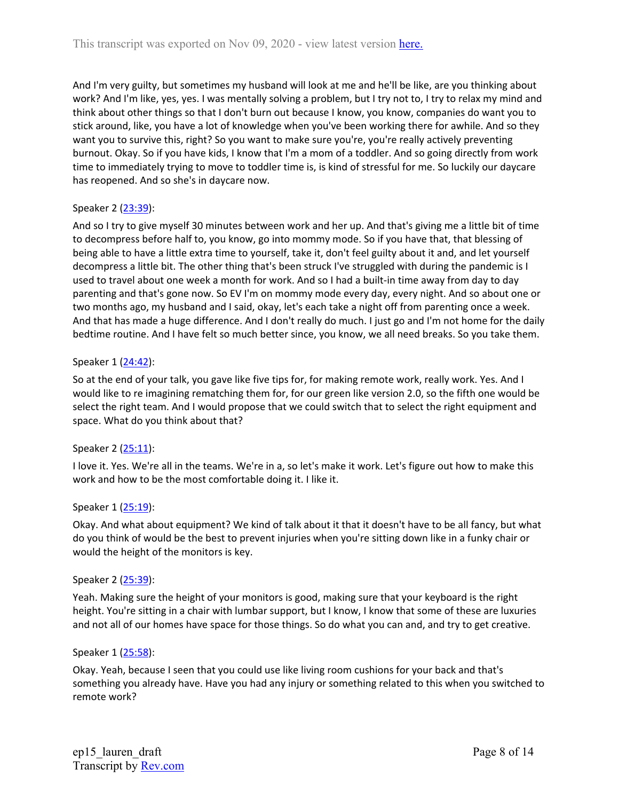And I'm very guilty, but sometimes my husband will look at me and he'll be like, are you thinking about work? And I'm like, yes, yes. I was mentally solving a problem, but I try not to, I try to relax my mind and think about other things so that I don't burn out because I know, you know, companies do want you to stick around, like, you have a lot of knowledge when you've been working there for awhile. And so they want you to survive this, right? So you want to make sure you're, you're really actively preventing burnout. Okay. So if you have kids, I know that I'm a mom of a toddler. And so going directly from work time to immediately trying to move to toddler time is, is kind of stressful for me. So luckily our daycare has reopened. And so she's in daycare now.

# Speaker 2 ([23:39](https://www.rev.com/transcript-editor/Edit?token=a8TH0aZPC2KeDeoCXYBsEBgNhthzFdTMMHIXepmehneHTAynKSS-8AttT5yj4uissw_EdplpGsRA-SEXwG63f7mLjWg&loadFrom=DocumentDeeplink&ts=1419.6)):

And so I try to give myself 30 minutes between work and her up. And that's giving me a little bit of time to decompress before half to, you know, go into mommy mode. So if you have that, that blessing of being able to have a little extra time to yourself, take it, don't feel guilty about it and, and let yourself decompress a little bit. The other thing that's been struck I've struggled with during the pandemic is I used to travel about one week a month for work. And so I had a built-in time away from day to day parenting and that's gone now. So EV I'm on mommy mode every day, every night. And so about one or two months ago, my husband and I said, okay, let's each take a night off from parenting once a week. And that has made a huge difference. And I don't really do much. I just go and I'm not home for the daily bedtime routine. And I have felt so much better since, you know, we all need breaks. So you take them.

#### Speaker 1 ([24:42](https://www.rev.com/transcript-editor/Edit?token=GeTKTfVeZP1ec-gO54AbFvkseV5CWOzculFcSlnQJq8Kcl1k0Bij6T4XPS7Kgpsb4AqcrWDp4DACZnG4P3nb8Vpgeto&loadFrom=DocumentDeeplink&ts=1482.58)):

So at the end of your talk, you gave like five tips for, for making remote work, really work. Yes. And I would like to re imagining rematching them for, for our green like version 2.0, so the fifth one would be select the right team. And I would propose that we could switch that to select the right equipment and space. What do you think about that?

#### Speaker 2 ([25:11](https://www.rev.com/transcript-editor/Edit?token=kl6cf9BsDM_1855IiH42TKnCroKvlYqVK0zWag7BXunbqkCkss0tOk8gLUf-HXZrNefA0lKM_GwYH9CzbrfbWM38N-k&loadFrom=DocumentDeeplink&ts=1511.08)):

I love it. Yes. We're all in the teams. We're in a, so let's make it work. Let's figure out how to make this work and how to be the most comfortable doing it. I like it.

#### Speaker 1 ([25:19](https://www.rev.com/transcript-editor/Edit?token=7hQrZ3q-Lduf6rKtakJAiLYouo6bGjIe1G8HFtm7BP-5EDi9uQWQqEAvM5HuxUhCfOc9H0euZ8u1zEvog5pUF0Pzw7Y&loadFrom=DocumentDeeplink&ts=1519.15)):

Okay. And what about equipment? We kind of talk about it that it doesn't have to be all fancy, but what do you think of would be the best to prevent injuries when you're sitting down like in a funky chair or would the height of the monitors is key.

#### Speaker 2 ([25:39](https://www.rev.com/transcript-editor/Edit?token=smdu7odqtqxfxUqXSoG5qGA26ztNNoHFqrdcUpXOrs8KWIv9Wbiini7dp75qOcnM4sPGvF6atm7bvgxQlzI1z4mTvQo&loadFrom=DocumentDeeplink&ts=1539.43)):

Yeah. Making sure the height of your monitors is good, making sure that your keyboard is the right height. You're sitting in a chair with lumbar support, but I know, I know that some of these are luxuries and not all of our homes have space for those things. So do what you can and, and try to get creative.

#### Speaker 1 ([25:58](https://www.rev.com/transcript-editor/Edit?token=D-Zu0_7CLC9TLCJ7vP_4n2S_VayZl6wFMXuKWukOWz1JwrdEa8JdRmhTVASZZt_CetnC5hzWwmQMklRK3ORc_ghBm_c&loadFrom=DocumentDeeplink&ts=1558.57)):

Okay. Yeah, because I seen that you could use like living room cushions for your back and that's something you already have. Have you had any injury or something related to this when you switched to remote work?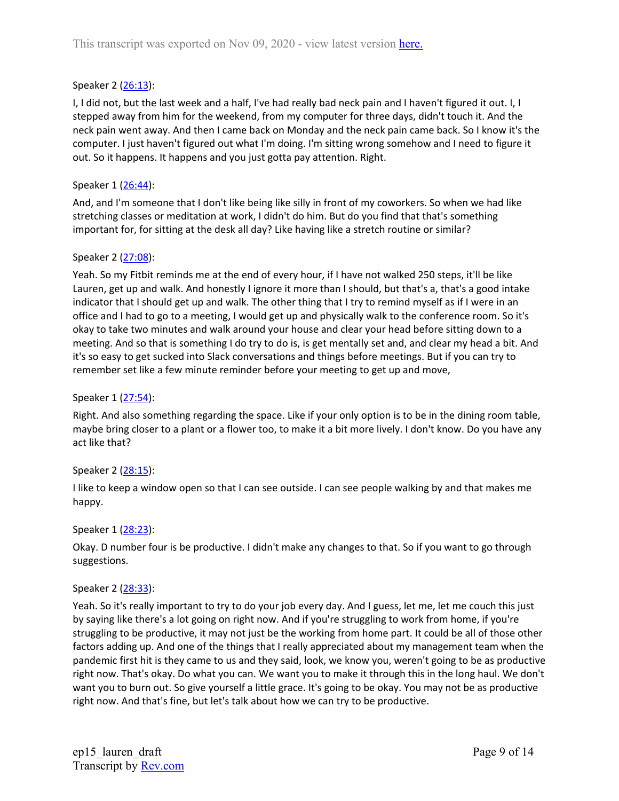# Speaker 2 ([26:13](https://www.rev.com/transcript-editor/Edit?token=khXqv8wBUCKOOkDoFK5w6h5-l-rCCjpEu45yb3clgoAe6FlbAyNTGUL1gytMESYI7_W2QXCkXxoH_7O7x0d7avR5S9A&loadFrom=DocumentDeeplink&ts=1573.96)):

I, I did not, but the last week and a half, I've had really bad neck pain and I haven't figured it out. I, I stepped away from him for the weekend, from my computer for three days, didn't touch it. And the neck pain went away. And then I came back on Monday and the neck pain came back. So I know it's the computer. I just haven't figured out what I'm doing. I'm sitting wrong somehow and I need to figure it out. So it happens. It happens and you just gotta pay attention. Right.

### Speaker 1 ([26:44](https://www.rev.com/transcript-editor/Edit?token=-EjLq4k_z4yiLE2fB-b2lkX92fkP7rDcvVRLmSTQ1engDOaTS2-GwYy_9-KMbAHJWAwnvmJ98av-dQPc4vmwh9_Zbuc&loadFrom=DocumentDeeplink&ts=1604.01)):

And, and I'm someone that I don't like being like silly in front of my coworkers. So when we had like stretching classes or meditation at work, I didn't do him. But do you find that that's something important for, for sitting at the desk all day? Like having like a stretch routine or similar?

#### Speaker 2 ([27:08](https://www.rev.com/transcript-editor/Edit?token=V839OkWlTl_2AOp2MewUIP09vE-KjPFRSBfLjw3r_xSIrfNOC6FgyPOkxL34Hs0kMEW99C4kPMmhWtlOStFgx4-sN3k&loadFrom=DocumentDeeplink&ts=1628.84)):

Yeah. So my Fitbit reminds me at the end of every hour, if I have not walked 250 steps, it'll be like Lauren, get up and walk. And honestly I ignore it more than I should, but that's a, that's a good intake indicator that I should get up and walk. The other thing that I try to remind myself as if I were in an office and I had to go to a meeting, I would get up and physically walk to the conference room. So it's okay to take two minutes and walk around your house and clear your head before sitting down to a meeting. And so that is something I do try to do is, is get mentally set and, and clear my head a bit. And it's so easy to get sucked into Slack conversations and things before meetings. But if you can try to remember set like a few minute reminder before your meeting to get up and move,

### Speaker 1 ([27:54](https://www.rev.com/transcript-editor/Edit?token=wNjXQs9TxqMqBFCl2SA9HTykjWlEUGjA9cKFGJMkVAGUy1COPZUw81Ah5YzusTG_vm1ppS61gxTlzjLtpDFJns65Flw&loadFrom=DocumentDeeplink&ts=1674.05)):

Right. And also something regarding the space. Like if your only option is to be in the dining room table, maybe bring closer to a plant or a flower too, to make it a bit more lively. I don't know. Do you have any act like that?

# Speaker 2 ([28:15](https://www.rev.com/transcript-editor/Edit?token=dDbls79BR-TW31TtaZH4J9WDBTf1sOFmDdLqS2fEjWrN9n6ogEluqt7SUY8Zfrc67lxBghtOIPgEgGA0sdCw5SOgNVk&loadFrom=DocumentDeeplink&ts=1695.86)):

I like to keep a window open so that I can see outside. I can see people walking by and that makes me happy.

#### Speaker 1 ([28:23](https://www.rev.com/transcript-editor/Edit?token=jupz9UO_G4UMyhApZcjnlAhCzbsu3VyGdTYhvvukRaDv6YF0q_UG9nDJAHeTOG1FZFk8gcTZiI-6kFUcEqG2CWuHcKo&loadFrom=DocumentDeeplink&ts=1703.84)):

Okay. D number four is be productive. I didn't make any changes to that. So if you want to go through suggestions.

#### Speaker 2 ([28:33](https://www.rev.com/transcript-editor/Edit?token=horILTGmMaslNuBeMxI8FW3k6fP7Ph-5jOpq1CEhR49HvV2Ld_nffFtRw8M32eGGBtbk2doUZJSKG3Pww1OKuvp7vSQ&loadFrom=DocumentDeeplink&ts=1713.65)):

Yeah. So it's really important to try to do your job every day. And I guess, let me, let me couch this just by saying like there's a lot going on right now. And if you're struggling to work from home, if you're struggling to be productive, it may not just be the working from home part. It could be all of those other factors adding up. And one of the things that I really appreciated about my management team when the pandemic first hit is they came to us and they said, look, we know you, weren't going to be as productive right now. That's okay. Do what you can. We want you to make it through this in the long haul. We don't want you to burn out. So give yourself a little grace. It's going to be okay. You may not be as productive right now. And that's fine, but let's talk about how we can try to be productive.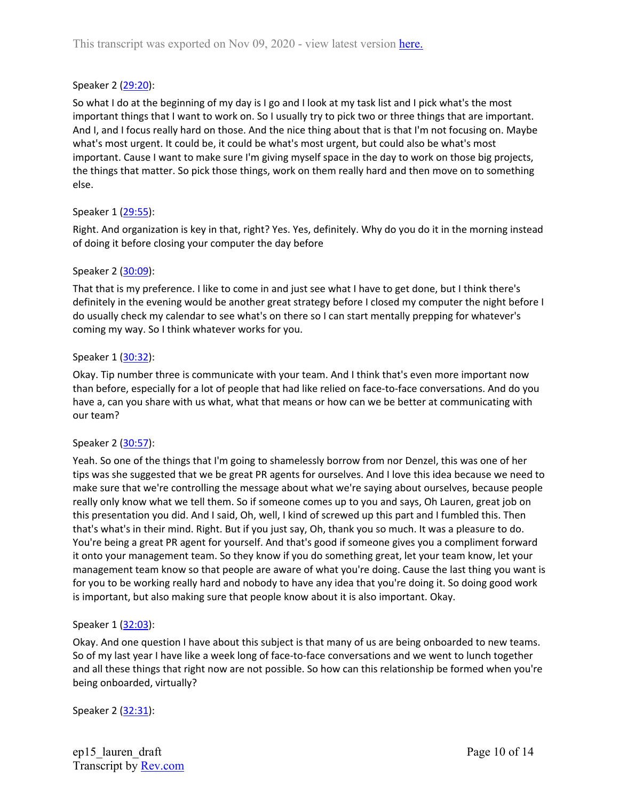### Speaker 2 ([29:20](https://www.rev.com/transcript-editor/Edit?token=Z8roLCyIOmkHhDY8QDZHzMat1_grFiFqRxH7sGt62qOL_ORxq-2BMH7IHv3kHB23XVx05Hxjco1twT5Ual8PdACntHw&loadFrom=DocumentDeeplink&ts=1760.21)):

So what I do at the beginning of my day is I go and I look at my task list and I pick what's the most important things that I want to work on. So I usually try to pick two or three things that are important. And I, and I focus really hard on those. And the nice thing about that is that I'm not focusing on. Maybe what's most urgent. It could be, it could be what's most urgent, but could also be what's most important. Cause I want to make sure I'm giving myself space in the day to work on those big projects, the things that matter. So pick those things, work on them really hard and then move on to something else.

#### Speaker 1 ([29:55](https://www.rev.com/transcript-editor/Edit?token=IuNHdwupnn_DsrCNYSQkMtPzKjvBbYfBbWpN_Ntl-BrY_tQrXJTKaYC4eKxIF2ao_PqPspK8AdiI8YFiaLhJ-Piyrv0&loadFrom=DocumentDeeplink&ts=1795.41)):

Right. And organization is key in that, right? Yes. Yes, definitely. Why do you do it in the morning instead of doing it before closing your computer the day before

#### Speaker 2 ([30:09](https://www.rev.com/transcript-editor/Edit?token=Bd0horNolS-wIYT2XNigOwKZ-tVYB0mbwD1krbfb6pJNkIHladgkcpbycCR16qlX5Qp0ErqGjRX69uZzLAB46pmLZLc&loadFrom=DocumentDeeplink&ts=1809.36)):

That that is my preference. I like to come in and just see what I have to get done, but I think there's definitely in the evening would be another great strategy before I closed my computer the night before I do usually check my calendar to see what's on there so I can start mentally prepping for whatever's coming my way. So I think whatever works for you.

#### Speaker 1 ([30:32](https://www.rev.com/transcript-editor/Edit?token=lKyODhku2wcmfUMCdXUCyF46oCKp-kntL63KRpHjQxXPBJgX-g8X-n_EK7pZs0luMT-0pT9bh5KSoHZoGzuHerR0P1I&loadFrom=DocumentDeeplink&ts=1832.15)):

Okay. Tip number three is communicate with your team. And I think that's even more important now than before, especially for a lot of people that had like relied on face-to-face conversations. And do you have a, can you share with us what, what that means or how can we be better at communicating with our team?

#### Speaker 2 ([30:57](https://www.rev.com/transcript-editor/Edit?token=j85dl7CuSY_Fy_3EaOEQBb22bSuvts67b3JQznkxJP0NIOSyrXEEkpf_0ycODZCTgHbYe-sEiz8bdP3M7xdDf_PFB7M&loadFrom=DocumentDeeplink&ts=1857.24)):

Yeah. So one of the things that I'm going to shamelessly borrow from nor Denzel, this was one of her tips was she suggested that we be great PR agents for ourselves. And I love this idea because we need to make sure that we're controlling the message about what we're saying about ourselves, because people really only know what we tell them. So if someone comes up to you and says, Oh Lauren, great job on this presentation you did. And I said, Oh, well, I kind of screwed up this part and I fumbled this. Then that's what's in their mind. Right. But if you just say, Oh, thank you so much. It was a pleasure to do. You're being a great PR agent for yourself. And that's good if someone gives you a compliment forward it onto your management team. So they know if you do something great, let your team know, let your management team know so that people are aware of what you're doing. Cause the last thing you want is for you to be working really hard and nobody to have any idea that you're doing it. So doing good work is important, but also making sure that people know about it is also important. Okay.

#### Speaker 1 ([32:03](https://www.rev.com/transcript-editor/Edit?token=BLkXZSZEB2trtDESEMk9sg2eB39kpXnFySZott_1iJE6V2Ml0xxISe7VGxtfVL1uaeWE6KFoov2fqs9eQKJof-TZHf8&loadFrom=DocumentDeeplink&ts=1923.93)):

Okay. And one question I have about this subject is that many of us are being onboarded to new teams. So of my last year I have like a week long of face-to-face conversations and we went to lunch together and all these things that right now are not possible. So how can this relationship be formed when you're being onboarded, virtually?

Speaker 2 ([32:31](https://www.rev.com/transcript-editor/Edit?token=2cmTyoXcvmK-a2Q3AuLps8h6XlNFcY6W5JNbnX7LzTsD_Y3TDjr5BDMwDlJWq4Mr_1s4UU8_2dTi2c21E4sDqBsPr0A&loadFrom=DocumentDeeplink&ts=1951.74)):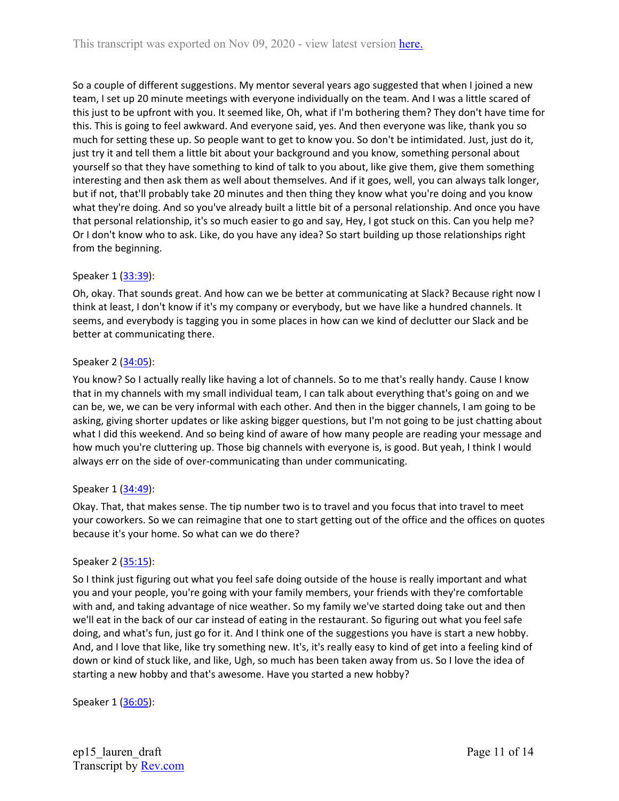So a couple of different suggestions. My mentor several years ago suggested that when I joined a new team, I set up 20 minute meetings with everyone individually on the team. And I was a little scared of this just to be upfront with you. It seemed like, Oh, what if I'm bothering them? They don't have time for this. This is going to feel awkward. And everyone said, yes. And then everyone was like, thank you so much for setting these up. So people want to get to know you. So don't be intimidated. Just, just do it, just try it and tell them a little bit about your background and you know, something personal about yourself so that they have something to kind of talk to you about, like give them, give them something interesting and then ask them as well about themselves. And if it goes, well, you can always talk longer, but if not, that'll probably take 20 minutes and then thing they know what you're doing and you know what they're doing. And so you've already built a little bit of a personal relationship. And once you have that personal relationship, it's so much easier to go and say, Hey, I got stuck on this. Can you help me? Or I don't know who to ask. Like, do you have any idea? So start building up those relationships right from the beginning.

# Speaker 1 ([33:39](https://www.rev.com/transcript-editor/Edit?token=NKm7KrKTH1tKFttNYrbgUEjvvP46hfPcAS3WyuBC9neY4epvXL2dPTcb5T9lux69nxsex-IxjQG7KaQkYlHohqkk9rg&loadFrom=DocumentDeeplink&ts=2019.03)):

Oh, okay. That sounds great. And how can we be better at communicating at Slack? Because right now I think at least, I don't know if it's my company or everybody, but we have like a hundred channels. It seems, and everybody is tagging you in some places in how can we kind of declutter our Slack and be better at communicating there.

# Speaker 2 ([34:05](https://www.rev.com/transcript-editor/Edit?token=uL89w_tkgrfQjrsgtV-qxTP4jCFkWDYnZKrqqrWxM-X7ML_WTrC4QFZOHiAwSHajTKIjaVeJ2NaDjqsv67YyBApovB8&loadFrom=DocumentDeeplink&ts=2045.92)):

You know? So I actually really like having a lot of channels. So to me that's really handy. Cause I know that in my channels with my small individual team, I can talk about everything that's going on and we can be, we, we can be very informal with each other. And then in the bigger channels, I am going to be asking, giving shorter updates or like asking bigger questions, but I'm not going to be just chatting about what I did this weekend. And so being kind of aware of how many people are reading your message and how much you're cluttering up. Those big channels with everyone is, is good. But yeah, I think I would always err on the side of over-communicating than under communicating.

#### Speaker 1 ([34:49](https://www.rev.com/transcript-editor/Edit?token=0wvwp3z6wkOP8nGvAv11gqzjyg_ay09_7Qs_he0MMecAnK9tXXw0krH8HFitSbe9TpjwbW8PZ9B_oxUSwwbxeBt4toU&loadFrom=DocumentDeeplink&ts=2089.24)):

Okay. That, that makes sense. The tip number two is to travel and you focus that into travel to meet your coworkers. So we can reimagine that one to start getting out of the office and the offices on quotes because it's your home. So what can we do there?

#### Speaker 2 ([35:15](https://www.rev.com/transcript-editor/Edit?token=7zwHmsMBpTxuhhq5t2Vq6XoYcP_FbI5Nfv62x3EOQ8bjFsmj5h8sLI9q60SgBJsF8MgtjKMuq2tV_mCiP85H2gxKjHA&loadFrom=DocumentDeeplink&ts=2115.37)):

So I think just figuring out what you feel safe doing outside of the house is really important and what you and your people, you're going with your family members, your friends with they're comfortable with and, and taking advantage of nice weather. So my family we've started doing take out and then we'll eat in the back of our car instead of eating in the restaurant. So figuring out what you feel safe doing, and what's fun, just go for it. And I think one of the suggestions you have is start a new hobby. And, and I love that like, like try something new. It's, it's really easy to kind of get into a feeling kind of down or kind of stuck like, and like, Ugh, so much has been taken away from us. So I love the idea of starting a new hobby and that's awesome. Have you started a new hobby?

Speaker 1 ([36:05](https://www.rev.com/transcript-editor/Edit?token=whinLaEwIvmQ0vQ51PvyBi6PK5jhi1wccawWr6t8Hul_IbxTFVlLexdEz3jV-_KPwPe4NET-0s0qkEH9dPovlyv6k2M&loadFrom=DocumentDeeplink&ts=2165.39)):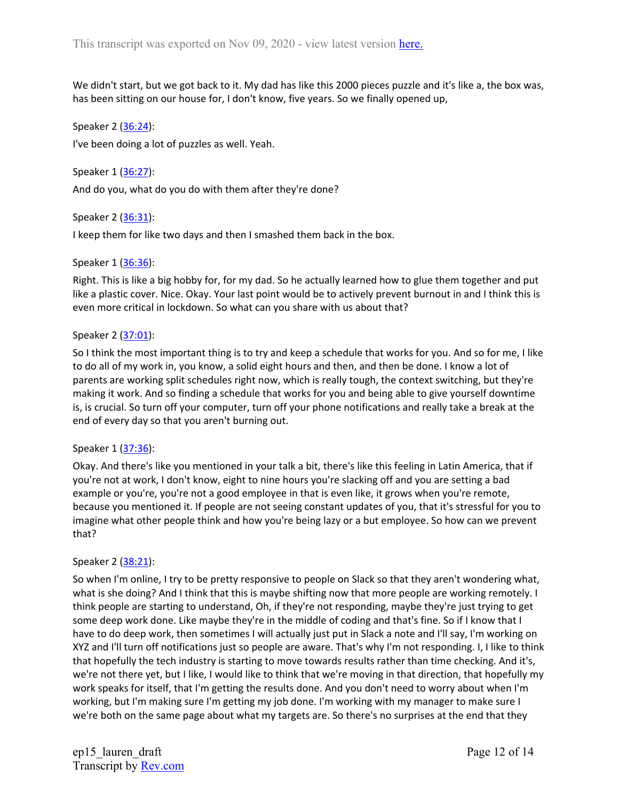We didn't start, but we got back to it. My dad has like this 2000 pieces puzzle and it's like a, the box was, has been sitting on our house for, I don't know, five years. So we finally opened up,

Speaker 2 ([36:24](https://www.rev.com/transcript-editor/Edit?token=V9UZtSAPvd89VKr8SZRhM4be6P0ejzNSROyVDRX4mIH5Kp9H-xywLYJk9r3m6iNQAnVF34V0afXums0vaP7j4etlNnw&loadFrom=DocumentDeeplink&ts=2184.05)):

I've been doing a lot of puzzles as well. Yeah.

Speaker 1 ([36:27](https://www.rev.com/transcript-editor/Edit?token=2kM7Lcb4aQV40cF9xijr3ry6NpXrKu-B6rfwIDWgH8EA2Vf_uuB4N_gBNdZCQiEMWcstiCuHz_NkXFNm2FymUvdWx_U&loadFrom=DocumentDeeplink&ts=2187.5)):

And do you, what do you do with them after they're done?

Speaker 2 ([36:31](https://www.rev.com/transcript-editor/Edit?token=ClgGWmRWumx1M5X3tOKHK1IgCIQHSx9Hxk48uCu2lrnY4EdPPpRV1qeYv1vu--dbCYV47a7Znm3p1zEEOtOE77QdfDQ&loadFrom=DocumentDeeplink&ts=2191.97)):

I keep them for like two days and then I smashed them back in the box.

#### Speaker 1 ([36:36](https://www.rev.com/transcript-editor/Edit?token=-EbveosYk4yyxy9x8NRnI3LiUZT-RV_ABLJTxu5tC1zgHjteXpDbaWJABS5MWAg8vlAbhpbAY4K3GHfiBHJPTiUpxbM&loadFrom=DocumentDeeplink&ts=2196.08)):

Right. This is like a big hobby for, for my dad. So he actually learned how to glue them together and put like a plastic cover. Nice. Okay. Your last point would be to actively prevent burnout in and I think this is even more critical in lockdown. So what can you share with us about that?

#### Speaker 2 ([37:01](https://www.rev.com/transcript-editor/Edit?token=ahP3_lDIu6pcELTIDBq8Gegsgu7p91O3PxXOBieLYaICM5xnujHpj-bpjLz-RXLTPDXLPuP8RNbdsEBy0pNMx4RWbnU&loadFrom=DocumentDeeplink&ts=2221.16)):

So I think the most important thing is to try and keep a schedule that works for you. And so for me, I like to do all of my work in, you know, a solid eight hours and then, and then be done. I know a lot of parents are working split schedules right now, which is really tough, the context switching, but they're making it work. And so finding a schedule that works for you and being able to give yourself downtime is, is crucial. So turn off your computer, turn off your phone notifications and really take a break at the end of every day so that you aren't burning out.

#### Speaker 1 ([37:36](https://www.rev.com/transcript-editor/Edit?token=Yvc_DjtWrCZi6__dLH9r5xrMCq_I-_LaR42fVeNwkE75zHmmdefLK6RercHFpqqJNdPLYkrS8KmqLoY1JnP0w_WWhaM&loadFrom=DocumentDeeplink&ts=2256.47)):

Okay. And there's like you mentioned in your talk a bit, there's like this feeling in Latin America, that if you're not at work, I don't know, eight to nine hours you're slacking off and you are setting a bad example or you're, you're not a good employee in that is even like, it grows when you're remote, because you mentioned it. If people are not seeing constant updates of you, that it's stressful for you to imagine what other people think and how you're being lazy or a but employee. So how can we prevent that?

#### Speaker 2 ([38:21](https://www.rev.com/transcript-editor/Edit?token=OYXOoy4NaSt0wxu0n1cfmoTgRRHm51RCEs2QMI5qBKqqBQjuqha4ZN_lyrrWSfxazqf3vyTqYXiUhbofXzop4bu00Vo&loadFrom=DocumentDeeplink&ts=2301.44)):

So when I'm online, I try to be pretty responsive to people on Slack so that they aren't wondering what, what is she doing? And I think that this is maybe shifting now that more people are working remotely. I think people are starting to understand, Oh, if they're not responding, maybe they're just trying to get some deep work done. Like maybe they're in the middle of coding and that's fine. So if I know that I have to do deep work, then sometimes I will actually just put in Slack a note and I'll say, I'm working on XYZ and I'll turn off notifications just so people are aware. That's why I'm not responding. I, I like to think that hopefully the tech industry is starting to move towards results rather than time checking. And it's, we're not there yet, but I like, I would like to think that we're moving in that direction, that hopefully my work speaks for itself, that I'm getting the results done. And you don't need to worry about when I'm working, but I'm making sure I'm getting my job done. I'm working with my manager to make sure I we're both on the same page about what my targets are. So there's no surprises at the end that they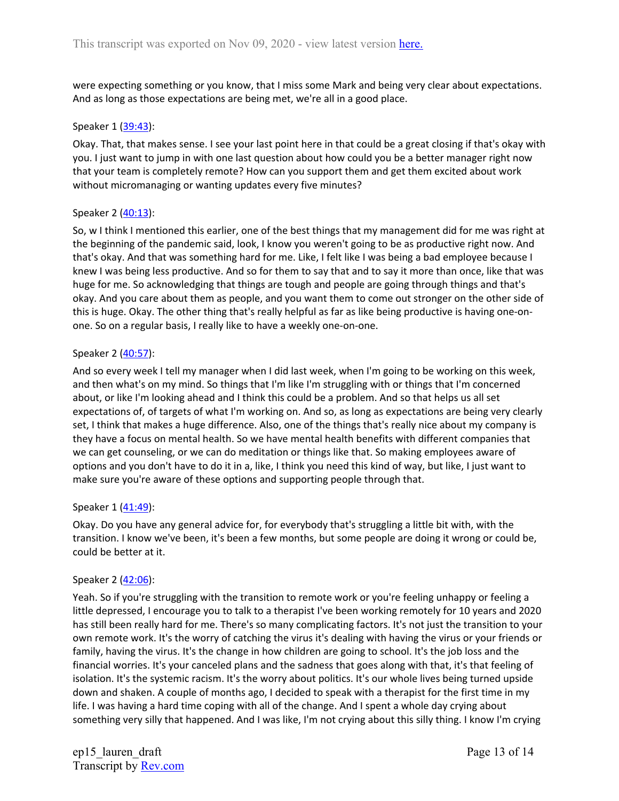were expecting something or you know, that I miss some Mark and being very clear about expectations. And as long as those expectations are being met, we're all in a good place.

#### Speaker 1 ([39:43](https://www.rev.com/transcript-editor/Edit?token=j4hw0XoY8dCvyfpc9YrAmbBGIzsNu50WdtCSaJEV4OyPjuNolzSUqmq20rPYQfDMNRmzGLKFU3_IadieaoLT0lyd-Yc&loadFrom=DocumentDeeplink&ts=2383.08)):

Okay. That, that makes sense. I see your last point here in that could be a great closing if that's okay with you. I just want to jump in with one last question about how could you be a better manager right now that your team is completely remote? How can you support them and get them excited about work without micromanaging or wanting updates every five minutes?

# Speaker 2 ([40:13](https://www.rev.com/transcript-editor/Edit?token=7Shm7GGJ1wAgXQFyS7o00z9X1arChmxjUSp78-BKaA8H05lxToymWQr9l0XwRs520WAQMMiB_te1WlpoRzMDXL9zlgM&loadFrom=DocumentDeeplink&ts=2413.77)):

So, w I think I mentioned this earlier, one of the best things that my management did for me was right at the beginning of the pandemic said, look, I know you weren't going to be as productive right now. And that's okay. And that was something hard for me. Like, I felt like I was being a bad employee because I knew I was being less productive. And so for them to say that and to say it more than once, like that was huge for me. So acknowledging that things are tough and people are going through things and that's okay. And you care about them as people, and you want them to come out stronger on the other side of this is huge. Okay. The other thing that's really helpful as far as like being productive is having one-onone. So on a regular basis, I really like to have a weekly one-on-one.

# Speaker 2 ([40:57](https://www.rev.com/transcript-editor/Edit?token=DMCRx2CT1PCmN1rojtnEbFZ6PamyHU3wdpsvTcs7EN4hHUBtGMyJur02ayj9Qonj6ZY4ilz6XhHHLrX1toxz8hltkw8&loadFrom=DocumentDeeplink&ts=2457.54)):

And so every week I tell my manager when I did last week, when I'm going to be working on this week, and then what's on my mind. So things that I'm like I'm struggling with or things that I'm concerned about, or like I'm looking ahead and I think this could be a problem. And so that helps us all set expectations of, of targets of what I'm working on. And so, as long as expectations are being very clearly set, I think that makes a huge difference. Also, one of the things that's really nice about my company is they have a focus on mental health. So we have mental health benefits with different companies that we can get counseling, or we can do meditation or things like that. So making employees aware of options and you don't have to do it in a, like, I think you need this kind of way, but like, I just want to make sure you're aware of these options and supporting people through that.

#### Speaker 1 ([41:49](https://www.rev.com/transcript-editor/Edit?token=0Rzp_aAmgncLpBlxoh5QdcoBfQzuVD0BwmgVkBjHdyWvm6Q6C9NRYG4AraGZP35-MufBUh77g2jh6JR5DkOSN7DdNZI&loadFrom=DocumentDeeplink&ts=2509.39)):

Okay. Do you have any general advice for, for everybody that's struggling a little bit with, with the transition. I know we've been, it's been a few months, but some people are doing it wrong or could be, could be better at it.

#### Speaker 2 ([42:06](https://www.rev.com/transcript-editor/Edit?token=OErNXHeJNstBEGKbXzTvCnY60QfTOYQBqtys64rIW8JUQM1BKnItjFo0KgygbQ1JOGpi7e2EiOg9w_4maZIug1vyD5c&loadFrom=DocumentDeeplink&ts=2526.31)):

Yeah. So if you're struggling with the transition to remote work or you're feeling unhappy or feeling a little depressed, I encourage you to talk to a therapist I've been working remotely for 10 years and 2020 has still been really hard for me. There's so many complicating factors. It's not just the transition to your own remote work. It's the worry of catching the virus it's dealing with having the virus or your friends or family, having the virus. It's the change in how children are going to school. It's the job loss and the financial worries. It's your canceled plans and the sadness that goes along with that, it's that feeling of isolation. It's the systemic racism. It's the worry about politics. It's our whole lives being turned upside down and shaken. A couple of months ago, I decided to speak with a therapist for the first time in my life. I was having a hard time coping with all of the change. And I spent a whole day crying about something very silly that happened. And I was like, I'm not crying about this silly thing. I know I'm crying